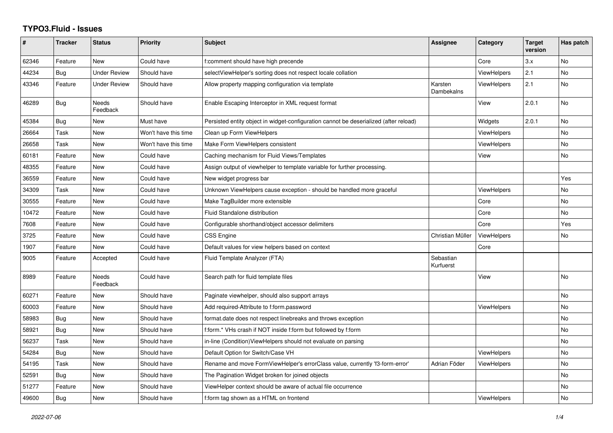## **TYPO3.Fluid - Issues**

| ∦     | <b>Tracker</b> | <b>Status</b>       | Priority             | <b>Subject</b>                                                                        | Assignee               | Category           | <b>Target</b><br>version | Has patch |
|-------|----------------|---------------------|----------------------|---------------------------------------------------------------------------------------|------------------------|--------------------|--------------------------|-----------|
| 62346 | Feature        | <b>New</b>          | Could have           | f:comment should have high precende                                                   |                        | Core               | 3.x                      | No        |
| 44234 | Bug            | <b>Under Review</b> | Should have          | selectViewHelper's sorting does not respect locale collation                          |                        | <b>ViewHelpers</b> | 2.1                      | <b>No</b> |
| 43346 | Feature        | <b>Under Review</b> | Should have          | Allow property mapping configuration via template                                     | Karsten<br>Dambekalns  | <b>ViewHelpers</b> | 2.1                      | No        |
| 46289 | Bug            | Needs<br>Feedback   | Should have          | Enable Escaping Interceptor in XML request format                                     |                        | View               | 2.0.1                    | No        |
| 45384 | Bug            | <b>New</b>          | Must have            | Persisted entity object in widget-configuration cannot be deserialized (after reload) |                        | Widgets            | 2.0.1                    | <b>No</b> |
| 26664 | Task           | New                 | Won't have this time | Clean up Form ViewHelpers                                                             |                        | <b>ViewHelpers</b> |                          | No        |
| 26658 | Task           | New                 | Won't have this time | Make Form ViewHelpers consistent                                                      |                        | <b>ViewHelpers</b> |                          | No        |
| 60181 | Feature        | New                 | Could have           | Caching mechanism for Fluid Views/Templates                                           |                        | View               |                          | No        |
| 48355 | Feature        | New                 | Could have           | Assign output of viewhelper to template variable for further processing.              |                        |                    |                          |           |
| 36559 | Feature        | <b>New</b>          | Could have           | New widget progress bar                                                               |                        |                    |                          | Yes       |
| 34309 | Task           | New                 | Could have           | Unknown ViewHelpers cause exception - should be handled more graceful                 |                        | <b>ViewHelpers</b> |                          | No        |
| 30555 | Feature        | New                 | Could have           | Make TagBuilder more extensible                                                       |                        | Core               |                          | <b>No</b> |
| 10472 | Feature        | <b>New</b>          | Could have           | Fluid Standalone distribution                                                         |                        | Core               |                          | No        |
| 7608  | Feature        | <b>New</b>          | Could have           | Configurable shorthand/object accessor delimiters                                     |                        | Core               |                          | Yes       |
| 3725  | Feature        | New                 | Could have           | <b>CSS Engine</b>                                                                     | Christian Müller       | <b>ViewHelpers</b> |                          | No        |
| 1907  | Feature        | <b>New</b>          | Could have           | Default values for view helpers based on context                                      |                        | Core               |                          |           |
| 9005  | Feature        | Accepted            | Could have           | Fluid Template Analyzer (FTA)                                                         | Sebastian<br>Kurfuerst |                    |                          |           |
| 8989  | Feature        | Needs<br>Feedback   | Could have           | Search path for fluid template files                                                  |                        | View               |                          | <b>No</b> |
| 60271 | Feature        | New                 | Should have          | Paginate viewhelper, should also support arrays                                       |                        |                    |                          | No        |
| 60003 | Feature        | New                 | Should have          | Add required-Attribute to f:form.password                                             |                        | <b>ViewHelpers</b> |                          | No        |
| 58983 | Bug            | New                 | Should have          | format.date does not respect linebreaks and throws exception                          |                        |                    |                          | <b>No</b> |
| 58921 | Bug            | New                 | Should have          | f:form.* VHs crash if NOT inside f:form but followed by f:form                        |                        |                    |                          | No        |
| 56237 | Task           | New                 | Should have          | in-line (Condition)ViewHelpers should not evaluate on parsing                         |                        |                    |                          | No        |
| 54284 | Bug            | New                 | Should have          | Default Option for Switch/Case VH                                                     |                        | ViewHelpers        |                          | <b>No</b> |
| 54195 | Task           | New                 | Should have          | Rename and move FormViewHelper's errorClass value, currently 'f3-form-error'          | Adrian Föder           | <b>ViewHelpers</b> |                          | No        |
| 52591 | Bug            | New                 | Should have          | The Pagination Widget broken for joined objects                                       |                        |                    |                          | <b>No</b> |
| 51277 | Feature        | New                 | Should have          | ViewHelper context should be aware of actual file occurrence                          |                        |                    |                          | No        |
| 49600 | <b>Bug</b>     | New                 | Should have          | f:form tag shown as a HTML on frontend                                                |                        | <b>ViewHelpers</b> |                          | No        |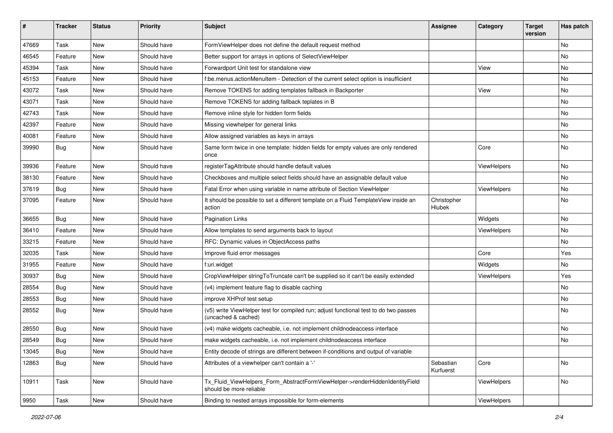| #     | <b>Tracker</b> | <b>Status</b> | <b>Priority</b> | <b>Subject</b>                                                                                              | <b>Assignee</b>        | Category    | <b>Target</b><br>version | Has patch |
|-------|----------------|---------------|-----------------|-------------------------------------------------------------------------------------------------------------|------------------------|-------------|--------------------------|-----------|
| 47669 | Task           | New           | Should have     | FormViewHelper does not define the default request method                                                   |                        |             |                          | <b>No</b> |
| 46545 | Feature        | New           | Should have     | Better support for arrays in options of SelectViewHelper                                                    |                        |             |                          | No        |
| 45394 | Task           | New           | Should have     | Forwardport Unit test for standalone view                                                                   |                        | View        |                          | No        |
| 45153 | Feature        | New           | Should have     | f:be.menus.actionMenuItem - Detection of the current select option is insufficient                          |                        |             |                          | No        |
| 43072 | Task           | New           | Should have     | Remove TOKENS for adding templates fallback in Backporter                                                   |                        | View        |                          | No        |
| 43071 | Task           | New           | Should have     | Remove TOKENS for adding fallback teplates in B                                                             |                        |             |                          | No        |
| 42743 | Task           | New           | Should have     | Remove inline style for hidden form fields                                                                  |                        |             |                          | No        |
| 42397 | Feature        | New           | Should have     | Missing viewhelper for general links                                                                        |                        |             |                          | No        |
| 40081 | Feature        | New           | Should have     | Allow assigned variables as keys in arrays                                                                  |                        |             |                          | No        |
| 39990 | Bug            | New           | Should have     | Same form twice in one template: hidden fields for empty values are only rendered<br>once                   |                        | Core        |                          | No        |
| 39936 | Feature        | New           | Should have     | registerTagAttribute should handle default values                                                           |                        | ViewHelpers |                          | No        |
| 38130 | Feature        | New           | Should have     | Checkboxes and multiple select fields should have an assignable default value                               |                        |             |                          | No        |
| 37619 | Bug            | New           | Should have     | Fatal Error when using variable in name attribute of Section ViewHelper                                     |                        | ViewHelpers |                          | No        |
| 37095 | Feature        | New           | Should have     | It should be possible to set a different template on a Fluid TemplateView inside an<br>action               | Christopher<br>Hlubek  |             |                          | No        |
| 36655 | Bug            | New           | Should have     | <b>Pagination Links</b>                                                                                     |                        | Widgets     |                          | <b>No</b> |
| 36410 | Feature        | New           | Should have     | Allow templates to send arguments back to layout                                                            |                        | ViewHelpers |                          | No        |
| 33215 | Feature        | New           | Should have     | RFC: Dynamic values in ObjectAccess paths                                                                   |                        |             |                          | No        |
| 32035 | Task           | New           | Should have     | Improve fluid error messages                                                                                |                        | Core        |                          | Yes       |
| 31955 | Feature        | New           | Should have     | f:uri.widget                                                                                                |                        | Widgets     |                          | No        |
| 30937 | Bug            | New           | Should have     | CropViewHelper stringToTruncate can't be supplied so it can't be easily extended                            |                        | ViewHelpers |                          | Yes       |
| 28554 | Bug            | New           | Should have     | (v4) implement feature flag to disable caching                                                              |                        |             |                          | No        |
| 28553 | Bug            | New           | Should have     | improve XHProf test setup                                                                                   |                        |             |                          | No        |
| 28552 | Bug            | New           | Should have     | (v5) write ViewHelper test for compiled run; adjust functional test to do two passes<br>(uncached & cached) |                        |             |                          | No        |
| 28550 | Bug            | New           | Should have     | (v4) make widgets cacheable, i.e. not implement childnodeaccess interface                                   |                        |             |                          | <b>No</b> |
| 28549 | <b>Bug</b>     | New           | Should have     | make widgets cacheable, i.e. not implement childnodeaccess interface                                        |                        |             |                          | No        |
| 13045 | Bug            | New           | Should have     | Entity decode of strings are different between if-conditions and output of variable                         |                        |             |                          |           |
| 12863 | <b>Bug</b>     | New           | Should have     | Attributes of a viewhelper can't contain a '-'                                                              | Sebastian<br>Kurfuerst | Core        |                          | No        |
| 10911 | Task           | New           | Should have     | Tx Fluid ViewHelpers Form AbstractFormViewHelper->renderHiddenIdentityField<br>should be more reliable      |                        | ViewHelpers |                          | No        |
| 9950  | Task           | New           | Should have     | Binding to nested arrays impossible for form-elements                                                       |                        | ViewHelpers |                          |           |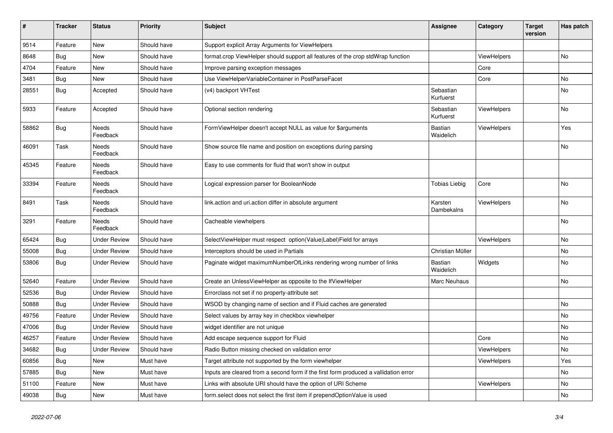| #     | <b>Tracker</b> | <b>Status</b>            | <b>Priority</b> | <b>Subject</b>                                                                       | Assignee               | Category           | <b>Target</b><br>version | Has patch |
|-------|----------------|--------------------------|-----------------|--------------------------------------------------------------------------------------|------------------------|--------------------|--------------------------|-----------|
| 9514  | Feature        | <b>New</b>               | Should have     | Support explicit Array Arguments for ViewHelpers                                     |                        |                    |                          |           |
| 8648  | Bug            | <b>New</b>               | Should have     | format.crop ViewHelper should support all features of the crop stdWrap function      |                        | <b>ViewHelpers</b> |                          | <b>No</b> |
| 4704  | Feature        | <b>New</b>               | Should have     | Improve parsing exception messages                                                   |                        | Core               |                          |           |
| 3481  | Bug            | <b>New</b>               | Should have     | Use ViewHelperVariableContainer in PostParseFacet                                    |                        | Core               |                          | No        |
| 28551 | Bug            | Accepted                 | Should have     | (v4) backport VHTest                                                                 | Sebastian<br>Kurfuerst |                    |                          | No        |
| 5933  | Feature        | Accepted                 | Should have     | Optional section rendering                                                           | Sebastian<br>Kurfuerst | ViewHelpers        |                          | <b>No</b> |
| 58862 | <b>Bug</b>     | Needs<br>Feedback        | Should have     | FormViewHelper doesn't accept NULL as value for \$arguments                          | Bastian<br>Waidelich   | ViewHelpers        |                          | Yes       |
| 46091 | Task           | <b>Needs</b><br>Feedback | Should have     | Show source file name and position on exceptions during parsing                      |                        |                    |                          | <b>No</b> |
| 45345 | Feature        | Needs<br>Feedback        | Should have     | Easy to use comments for fluid that won't show in output                             |                        |                    |                          |           |
| 33394 | Feature        | Needs<br>Feedback        | Should have     | Logical expression parser for BooleanNode                                            | Tobias Liebig          | Core               |                          | <b>No</b> |
| 8491  | Task           | <b>Needs</b><br>Feedback | Should have     | link.action and uri.action differ in absolute argument                               | Karsten<br>Dambekalns  | ViewHelpers        |                          | <b>No</b> |
| 3291  | Feature        | Needs<br>Feedback        | Should have     | Cacheable viewhelpers                                                                |                        |                    |                          | No        |
| 65424 | Bug            | Under Review             | Should have     | SelectViewHelper must respect option(Value Label)Field for arrays                    |                        | <b>ViewHelpers</b> |                          | No        |
| 55008 | Bug            | <b>Under Review</b>      | Should have     | Interceptors should be used in Partials                                              | Christian Müller       |                    |                          | No        |
| 53806 | Bug            | <b>Under Review</b>      | Should have     | Paginate widget maximumNumberOfLinks rendering wrong number of links                 | Bastian<br>Waidelich   | Widgets            |                          | No        |
| 52640 | Feature        | <b>Under Review</b>      | Should have     | Create an UnlessViewHelper as opposite to the IfViewHelper                           | Marc Neuhaus           |                    |                          | <b>No</b> |
| 52536 | Bug            | <b>Under Review</b>      | Should have     | Errorclass not set if no property-attribute set                                      |                        |                    |                          |           |
| 50888 | <b>Bug</b>     | <b>Under Review</b>      | Should have     | WSOD by changing name of section and if Fluid caches are generated                   |                        |                    |                          | <b>No</b> |
| 49756 | Feature        | <b>Under Review</b>      | Should have     | Select values by array key in checkbox viewhelper                                    |                        |                    |                          | <b>No</b> |
| 47006 | <b>Bug</b>     | <b>Under Review</b>      | Should have     | widget identifier are not unique                                                     |                        |                    |                          | No        |
| 46257 | Feature        | <b>Under Review</b>      | Should have     | Add escape sequence support for Fluid                                                |                        | Core               |                          | <b>No</b> |
| 34682 | Bug            | <b>Under Review</b>      | Should have     | Radio Button missing checked on validation error                                     |                        | ViewHelpers        |                          | No        |
| 60856 | Bug            | New                      | Must have       | Target attribute not supported by the form viewhelper                                |                        | ViewHelpers        |                          | Yes       |
| 57885 | Bug            | New                      | Must have       | Inputs are cleared from a second form if the first form produced a vallidation error |                        |                    |                          | No        |
| 51100 | Feature        | New                      | Must have       | Links with absolute URI should have the option of URI Scheme                         |                        | ViewHelpers        |                          | No        |
| 49038 | Bug            | New                      | Must have       | form select does not select the first item if prependOptionValue is used             |                        |                    |                          | No        |